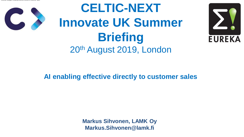## **AI enabling effective directly to customer sales**

# **CELTIC-NEXT Innovate UK Summer Briefing** 20th August 2019, London



**Markus Sihvonen, LAMK Oy Markus.Sihvonen@lamk.fi**

•Artificial Intelligent enabling effective directly to customer sales



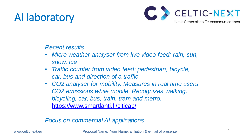# AI laboratory

### *Recent results*

• *Micro weather analyser from live video feed: rain, sun,* 

• *Traffic counter from video feed: pedestrian, bicycle,*  • *CO2 analyser for mobility. Measures in real time users CO2 emissions while mobile. Recognizes walking,* 

- *snow, ice*
- *car, bus and direction of a traffic*
- *bicycling, car, bus, train, tram and metro.*  <https://www.smartlahti.fi/citicap/>

*Focus on commercial AI applications*

www.celticnext.eu **Proposal Name, Your Name, affiliation & e-mail of presenter** 

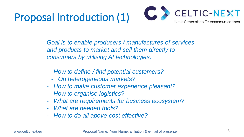# Proposal Introduction (1)

Goal is to enable producers / manufactures of services *and products to market and sell them directly to consumers by utilising AI technologies.*

- *How to define / find potential customers?*
	- *On heterogeneous markets?*
- *How to make customer experience pleasant?*
- *How to organise logistics?*
- *What are requirements for business ecosystem?* - *What are needed tools?*
- 
- *How to do all above cost effective?*

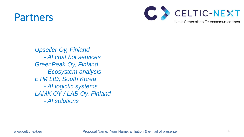## Partners

4

*Upseller Oy, Finland - AI chat bot services GreenPeak Oy, Finland - Ecosystem analysis ETM LtD, South Korea - AI logictic systems LAMK OY / LAB Oy, Finland - AI solutions*

www.celticnext.eu **Proposal Name, Your Name, affiliation & e-mail of presenter**